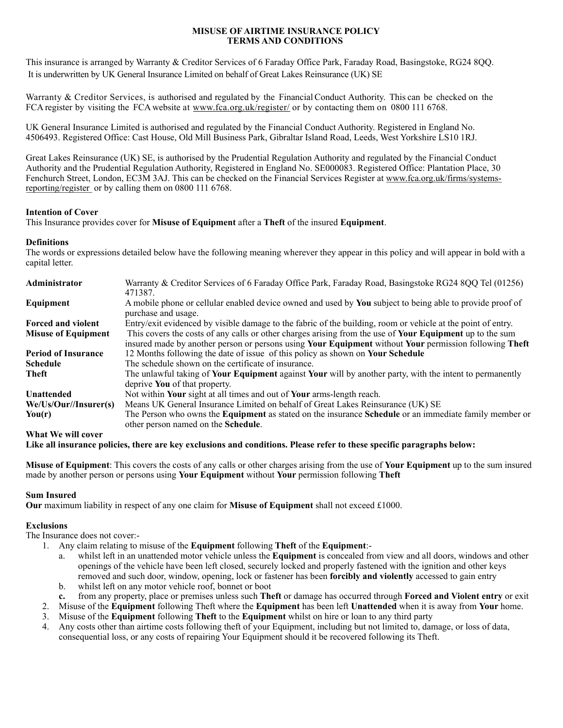### **MISUSE OF AIRTIME INSURANCE POLICY TERMS AND CONDITIONS**

This insurance is arranged by Warranty & Creditor Services of 6 Faraday Office Park, Faraday Road, Basingstoke, RG24 8QQ. It is underwritten by UK General Insurance Limited on behalf of Great Lakes Reinsurance (UK) SE

Warranty & Creditor Services, is authorised and regulated by the Financial Conduct Authority. This can be checked on the FCA register by visiting the FCA website at [www.fca.org.uk/register/](http://www.fca.org.uk/register/) or by contacting them on 0800 111 6768.

UK General Insurance Limited is authorised and regulated by the Financial Conduct Authority. Registered in England No. 4506493. Registered Office: Cast House, Old Mill Business Park, Gibraltar Island Road, Leeds, West Yorkshire LS10 1RJ.

Great Lakes Reinsurance (UK) SE, is authorised by the Prudential Regulation Authority and regulated by the Financial Conduct Authority and the Prudential Regulation Authority, Registered in England No. SE000083. Registered Office: Plantation Place, 30 Fenchurch Street, London, EC3M 3AJ. This can be checked on the Financial Services Register at [www.fca.org.uk/firms/systems](http://www.fca.org.uk/firms/systems-reporting/register)[reporting/register](http://www.fca.org.uk/firms/systems-reporting/register) or by calling them on 0800 111 6768.

#### **Intention of Cover**

This Insurance provides cover for **Misuse of Equipment** after a **Theft** of the insured **Equipment**.

#### **Definitions**

The words or expressions detailed below have the following meaning wherever they appear in this policy and will appear in bold with a capital letter.

| Warranty & Creditor Services of 6 Faraday Office Park, Faraday Road, Basingstoke RG24 8QQ Tel (01256)<br>471387.                                                                                                          |
|---------------------------------------------------------------------------------------------------------------------------------------------------------------------------------------------------------------------------|
| A mobile phone or cellular enabled device owned and used by You subject to being able to provide proof of<br>purchase and usage.                                                                                          |
| Entry/exit evidenced by visible damage to the fabric of the building, room or vehicle at the point of entry.                                                                                                              |
| This covers the costs of any calls or other charges arising from the use of <b>Your Equipment</b> up to the sum<br>insured made by another person or persons using Your Equipment without Your permission following Theft |
| 12 Months following the date of issue of this policy as shown on Your Schedule                                                                                                                                            |
| The schedule shown on the certificate of insurance.                                                                                                                                                                       |
| The unlawful taking of Your Equipment against Your will by another party, with the intent to permanently<br>deprive You of that property.                                                                                 |
| Not within Your sight at all times and out of Your arms-length reach.                                                                                                                                                     |
| Means UK General Insurance Limited on behalf of Great Lakes Reinsurance (UK) SE                                                                                                                                           |
| The Person who owns the <b>Equipment</b> as stated on the insurance <b>Schedule</b> or an immediate family member or<br>other person named on the <b>Schedule</b> .                                                       |
|                                                                                                                                                                                                                           |
|                                                                                                                                                                                                                           |

**Like all insurance policies, there are key exclusions and conditions. Please refer to these specific paragraphs below:** 

**Misuse of Equipment**: This covers the costs of any calls or other charges arising from the use of **Your Equipment** up to the sum insured made by another person or persons using **Your Equipment** without **Your** permission following **Theft** 

### **Sum Insured**

**Our** maximum liability in respect of any one claim for **Misuse of Equipment** shall not exceed £1000.

# **Exclusions**

The Insurance does not cover:-

- 1. Any claim relating to misuse of the **Equipment** following **Theft** of the **Equipment**:
	- a. whilst left in an unattended motor vehicle unless the **Equipment** is concealed from view and all doors, windows and other openings of the vehicle have been left closed, securely locked and properly fastened with the ignition and other keys removed and such door, window, opening, lock or fastener has been **forcibly and violently** accessed to gain entry
	- b. whilst left on any motor vehicle roof, bonnet or boot
	- **c.** from any property, place or premises unless such **Theft** or damage has occurred through **Forced and Violent entry** or exit
- 2. Misuse of the **Equipment** following Theft where the **Equipment** has been left **Unattended** when it is away from **Your** home.
- 3. Misuse of the **Equipment** following **Theft** to the **Equipment** whilst on hire or loan to any third party
- 4. Any costs other than airtime costs following theft of your Equipment, including but not limited to, damage, or loss of data, consequential loss, or any costs of repairing Your Equipment should it be recovered following its Theft.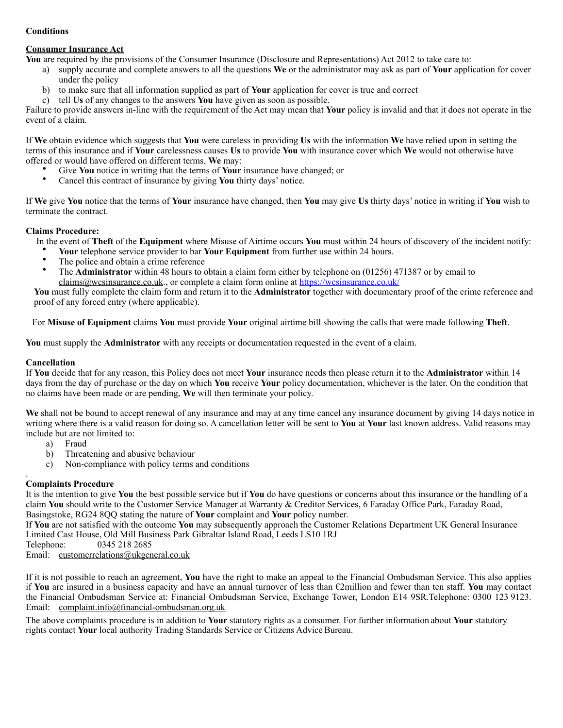# **Conditions**

### **Consumer Insurance Act**

**You** are required by the provisions of the Consumer Insurance (Disclosure and Representations) Act 2012 to take care to:

- a) supply accurate and complete answers to all the questions **We** or the administrator may ask as part of **Your** application for cover under the policy
- b) to make sure that all information supplied as part of **Your** application for cover is true and correct
- c) tell **Us** of any changes to the answers **You** have given as soon as possible.

Failure to provide answers in-line with the requirement of the Act may mean that **Your** policy is invalid and that it does not operate in the event of a claim.

If **We** obtain evidence which suggests that **You** were careless in providing **Us** with the information **We** have relied upon in setting the terms of this insurance and if **Your** carelessness causes **Us** to provide **You** with insurance cover which **We** would not otherwise have offered or would have offered on different terms, **We** may:

- Give **You** notice in writing that the terms of **Your** insurance have changed; or
- Cancel this contract of insurance by giving **You** thirty days' notice.

If **We** give **You** notice that the terms of **Your** insurance have changed, then **You** may give **Us** thirty days' notice in writing if **You** wish to terminate the contract.

### **Claims Procedure:**

In the event of **Theft** of the **Equipment** where Misuse of Airtime occurs **You** must within 24 hours of discovery of the incident notify:

- **Your** telephone service provider to bar **Your Equipment** from further use within 24 hours.
- The police and obtain a crime reference
- The **Administrator** within 48 hours to obtain a claim form either by telephone on (01256) 471387 or by email to [claims@wcsinsurance.co.uk](mailto:claims@wcsinsurance.co.uk)., or complete a claim form online at <https://wcsinsurance.co.uk/>

**You** must fully complete the claim form and return it to the **Administrator** together with documentary proof of the crime reference and proof of any forced entry (where applicable).

For **Misuse of Equipment** claims **You** must provide **Your** original airtime bill showing the calls that were made following **Theft**.

**You** must supply the **Administrator** with any receipts or documentation requested in the event of a claim.

## **Cancellation**

If **You** decide that for any reason, this Policy does not meet **Your** insurance needs then please return it to the **Administrator** within 14 days from the day of purchase or the day on which **You** receive **Your** policy documentation, whichever is the later. On the condition that no claims have been made or are pending, **We** will then terminate your policy.

**We** shall not be bound to accept renewal of any insurance and may at any time cancel any insurance document by giving 14 days notice in writing where there is a valid reason for doing so. A cancellation letter will be sent to **You** at **Your** last known address. Valid reasons may include but are not limited to:

- a) Fraud
- b) Threatening and abusive behaviour
- c) Non-compliance with policy terms and conditions

#### . **Complaints Procedure**

It is the intention to give **You** the best possible service but if **You** do have questions or concerns about this insurance or the handling of a claim **You** should write to the Customer Service Manager at Warranty & Creditor Services, 6 Faraday Office Park, Faraday Road, Basingstoke, RG24 8QQ stating the nature of **Your** complaint and **Your** policy number.

If **You** are not satisfied with the outcome **You** may subsequently approach the Customer Relations Department UK General Insurance Limited Cast House, Old Mill Business Park Gibraltar Island Road, Leeds LS10 1RJ

Telephone: 0345 218 2685

Email: [customerrelations@ukgeneral.co.uk](mailto:customerrelations@ukgeneral.co.uk) 

If it is not possible to reach an agreement, **You** have the right to make an appeal to the Financial Ombudsman Service. This also applies if **You** are insured in a business capacity and have an annual turnover of less than €2million and fewer than ten staff. **You** may contact the Financial Ombudsman Service at: Financial Ombudsman Service, Exchange Tower, London E14 9SR.Telephone: 0300 123 9123. Email: [complaint.info@financial-ombudsman.org.uk](mailto:complaint.info@financial-ombudsman.org.uk)

The above complaints procedure is in addition to **Your** statutory rights as a consumer. For further information about **Your** statutory rights contact **Your** local authority Trading Standards Service or Citizens Advice Bureau.